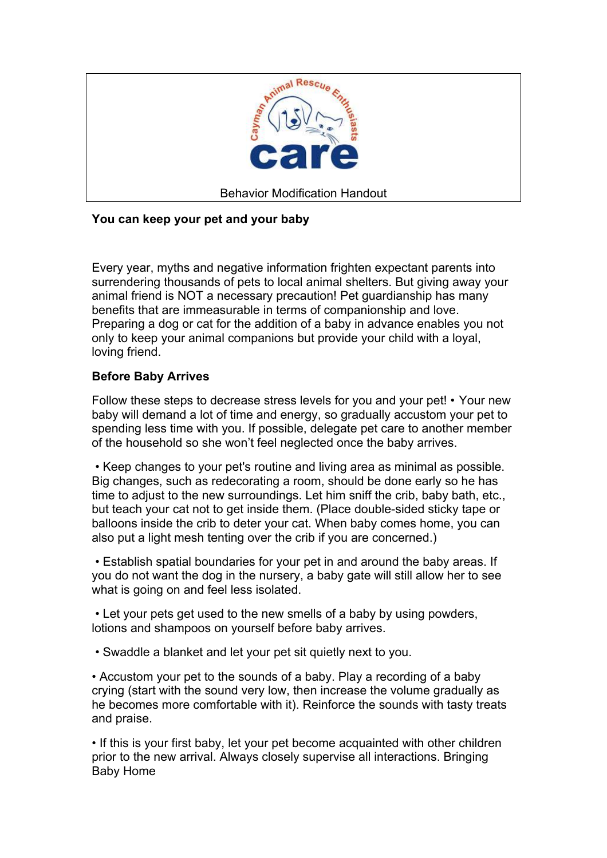

## **You can keep your pet and your baby**

Every year, myths and negative information frighten expectant parents into surrendering thousands of pets to local animal shelters. But giving away your animal friend is NOT a necessary precaution! Pet guardianship has many benefits that are immeasurable in terms of companionship and love. Preparing a dog or cat for the addition of a baby in advance enables you not only to keep your animal companions but provide your child with a loyal, loving friend.

## **Before Baby Arrives**

Follow these steps to decrease stress levels for you and your pet! • Your new baby will demand a lot of time and energy, so gradually accustom your pet to spending less time with you. If possible, delegate pet care to another member of the household so she won't feel neglected once the baby arrives.

 • Keep changes to your pet's routine and living area as minimal as possible. Big changes, such as redecorating a room, should be done early so he has time to adjust to the new surroundings. Let him sniff the crib, baby bath, etc., but teach your cat not to get inside them. (Place double-sided sticky tape or balloons inside the crib to deter your cat. When baby comes home, you can also put a light mesh tenting over the crib if you are concerned.)

 • Establish spatial boundaries for your pet in and around the baby areas. If you do not want the dog in the nursery, a baby gate will still allow her to see what is going on and feel less isolated.

 • Let your pets get used to the new smells of a baby by using powders, lotions and shampoos on yourself before baby arrives.

• Swaddle a blanket and let your pet sit quietly next to you.

• Accustom your pet to the sounds of a baby. Play a recording of a baby crying (start with the sound very low, then increase the volume gradually as he becomes more comfortable with it). Reinforce the sounds with tasty treats and praise.

• If this is your first baby, let your pet become acquainted with other children prior to the new arrival. Always closely supervise all interactions. Bringing Baby Home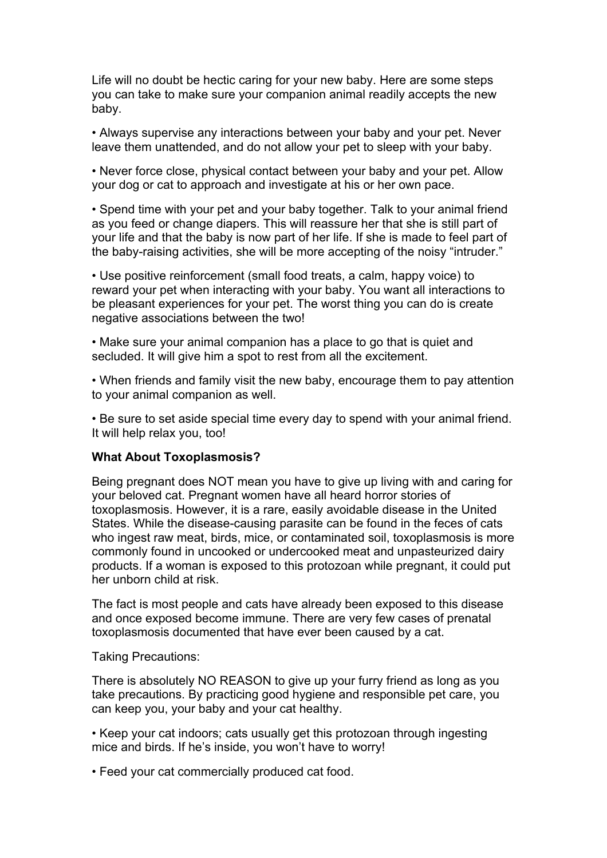Life will no doubt be hectic caring for your new baby. Here are some steps you can take to make sure your companion animal readily accepts the new baby.

• Always supervise any interactions between your baby and your pet. Never leave them unattended, and do not allow your pet to sleep with your baby.

• Never force close, physical contact between your baby and your pet. Allow your dog or cat to approach and investigate at his or her own pace.

• Spend time with your pet and your baby together. Talk to your animal friend as you feed or change diapers. This will reassure her that she is still part of your life and that the baby is now part of her life. If she is made to feel part of the baby-raising activities, she will be more accepting of the noisy "intruder."

• Use positive reinforcement (small food treats, a calm, happy voice) to reward your pet when interacting with your baby. You want all interactions to be pleasant experiences for your pet. The worst thing you can do is create negative associations between the two!

• Make sure your animal companion has a place to go that is quiet and secluded. It will give him a spot to rest from all the excitement.

• When friends and family visit the new baby, encourage them to pay attention to your animal companion as well.

• Be sure to set aside special time every day to spend with your animal friend. It will help relax you, too!

## **What About Toxoplasmosis?**

Being pregnant does NOT mean you have to give up living with and caring for your beloved cat. Pregnant women have all heard horror stories of toxoplasmosis. However, it is a rare, easily avoidable disease in the United States. While the disease-causing parasite can be found in the feces of cats who ingest raw meat, birds, mice, or contaminated soil, toxoplasmosis is more commonly found in uncooked or undercooked meat and unpasteurized dairy products. If a woman is exposed to this protozoan while pregnant, it could put her unborn child at risk.

The fact is most people and cats have already been exposed to this disease and once exposed become immune. There are very few cases of prenatal toxoplasmosis documented that have ever been caused by a cat.

Taking Precautions:

There is absolutely NO REASON to give up your furry friend as long as you take precautions. By practicing good hygiene and responsible pet care, you can keep you, your baby and your cat healthy.

• Keep your cat indoors; cats usually get this protozoan through ingesting mice and birds. If he's inside, you won't have to worry!

• Feed your cat commercially produced cat food.